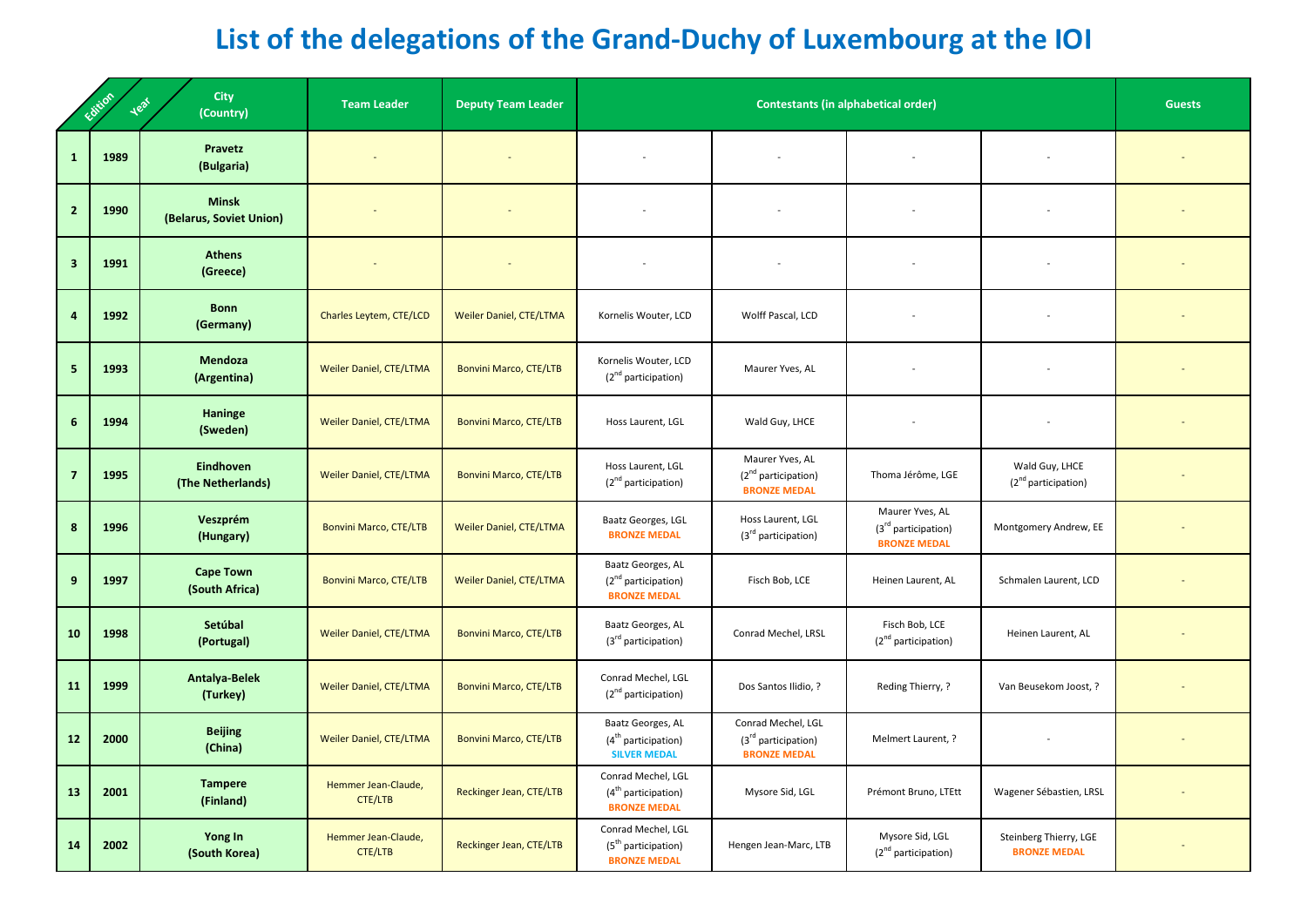## **List of the delegations of the Grand-Duchy of Luxembourg at the IOI**

| <b>City</b><br>Edition<br><b>Heal</b><br>(Country) |      |                                         | <b>Team Leader</b>                    | <b>Deputy Team Leader</b>      |                                                                              | <b>Guests</b>                                                                |                                                                 |                                               |  |
|----------------------------------------------------|------|-----------------------------------------|---------------------------------------|--------------------------------|------------------------------------------------------------------------------|------------------------------------------------------------------------------|-----------------------------------------------------------------|-----------------------------------------------|--|
| $\mathbf{1}$                                       | 1989 | Pravetz<br>(Bulgaria)                   |                                       |                                |                                                                              |                                                                              |                                                                 |                                               |  |
| $\overline{2}$                                     | 1990 | <b>Minsk</b><br>(Belarus, Soviet Union) |                                       |                                |                                                                              |                                                                              |                                                                 |                                               |  |
| $\overline{\mathbf{3}}$                            | 1991 | <b>Athens</b><br>(Greece)               |                                       | $\overline{\phantom{a}}$       | $\overline{\phantom{a}}$                                                     |                                                                              |                                                                 |                                               |  |
| $\overline{a}$                                     | 1992 | <b>Bonn</b><br>(Germany)                | Charles Leytem, CTE/LCD               | <b>Weiler Daniel, CTE/LTMA</b> | Kornelis Wouter, LCD                                                         | Wolff Pascal, LCD                                                            |                                                                 |                                               |  |
| $\sqrt{5}$                                         | 1993 | Mendoza<br>(Argentina)                  | Weiler Daniel, CTE/LTMA               | <b>Bonvini Marco, CTE/LTB</b>  | Kornelis Wouter, LCD<br>(2 <sup>nd</sup> participation)                      | Maurer Yves, AL                                                              |                                                                 |                                               |  |
| $6\phantom{1}$                                     | 1994 | Haninge<br>(Sweden)                     | Weiler Daniel, CTE/LTMA               | <b>Bonvini Marco, CTE/LTB</b>  | Hoss Laurent, LGL                                                            | Wald Guy, LHCE                                                               |                                                                 |                                               |  |
| $\overline{\mathbf{z}}$                            | 1995 | <b>Eindhoven</b><br>(The Netherlands)   | <b>Weiler Daniel, CTE/LTMA</b>        | <b>Bonvini Marco, CTE/LTB</b>  | Hoss Laurent, LGL<br>(2 <sup>nd</sup> participation)                         | Maurer Yves, AL<br>$(2nd$ participation)<br><b>BRONZE MEDAL</b>              | Thoma Jérôme, LGE                                               | Wald Guy, LHCE<br>$(2nd$ participation)       |  |
| 8                                                  | 1996 | Veszprém<br>(Hungary)                   | <b>Bonvini Marco, CTE/LTB</b>         | Weiler Daniel, CTE/LTMA        | Baatz Georges, LGL<br><b>BRONZE MEDAL</b>                                    | Hoss Laurent, LGL<br>(3 <sup>rd</sup> participation)                         | Maurer Yves, AL<br>$(3rd$ participation)<br><b>BRONZE MEDAL</b> | Montgomery Andrew, EE                         |  |
| 9                                                  | 1997 | <b>Cape Town</b><br>(South Africa)      | <b>Bonvini Marco, CTE/LTB</b>         | <b>Weiler Daniel, CTE/LTMA</b> | Baatz Georges, AL<br>(2 <sup>nd</sup> participation)<br><b>BRONZE MEDAL</b>  | Fisch Bob, LCE                                                               | Heinen Laurent, AL                                              | Schmalen Laurent, LCD                         |  |
| 10                                                 | 1998 | Setúbal<br>(Portugal)                   | Weiler Daniel, CTE/LTMA               | Bonvini Marco, CTE/LTB         | Baatz Georges, AL<br>$(3rd$ participation)                                   | Conrad Mechel, LRSL                                                          | Fisch Bob, LCE<br>$(2nd$ participation)                         | Heinen Laurent, AL                            |  |
| <b>11</b>                                          | 1999 | <b>Antalya-Belek</b><br>(Turkey)        | Weiler Daniel, CTE/LTMA               | <b>Bonvini Marco, CTE/LTB</b>  | Conrad Mechel, LGL<br>(2 <sup>nd</sup> participation)                        | Dos Santos Ilidio, ?                                                         | Reding Thierry, ?                                               | Van Beusekom Joost, ?                         |  |
| 12                                                 | 2000 | <b>Beijing</b><br>(China)               | Weiler Daniel, CTE/LTMA               | <b>Bonvini Marco, CTE/LTB</b>  | Baatz Georges, AL<br>$(4th$ participation)<br><b>SILVER MEDAL</b>            | Conrad Mechel, LGL<br>(3 <sup>rd</sup> participation)<br><b>BRONZE MEDAL</b> | Melmert Laurent, ?                                              |                                               |  |
| 13                                                 | 2001 | <b>Tampere</b><br>(Finland)             | Hemmer Jean-Claude,<br><b>CTE/LTB</b> | Reckinger Jean, CTE/LTB        | Conrad Mechel, LGL<br>$(4th$ participation)<br><b>BRONZE MEDAL</b>           | Mysore Sid, LGL                                                              | Prémont Bruno, LTEtt                                            | Wagener Sébastien, LRSL                       |  |
| 14                                                 | 2002 | Yong In<br>(South Korea)                | Hemmer Jean-Claude,<br>CTE/LTB        | Reckinger Jean, CTE/LTB        | Conrad Mechel, LGL<br>(5 <sup>th</sup> participation)<br><b>BRONZE MEDAL</b> | Hengen Jean-Marc, LTB                                                        | Mysore Sid, LGL<br>(2 <sup>nd</sup> participation)              | Steinberg Thierry, LGE<br><b>BRONZE MEDAL</b> |  |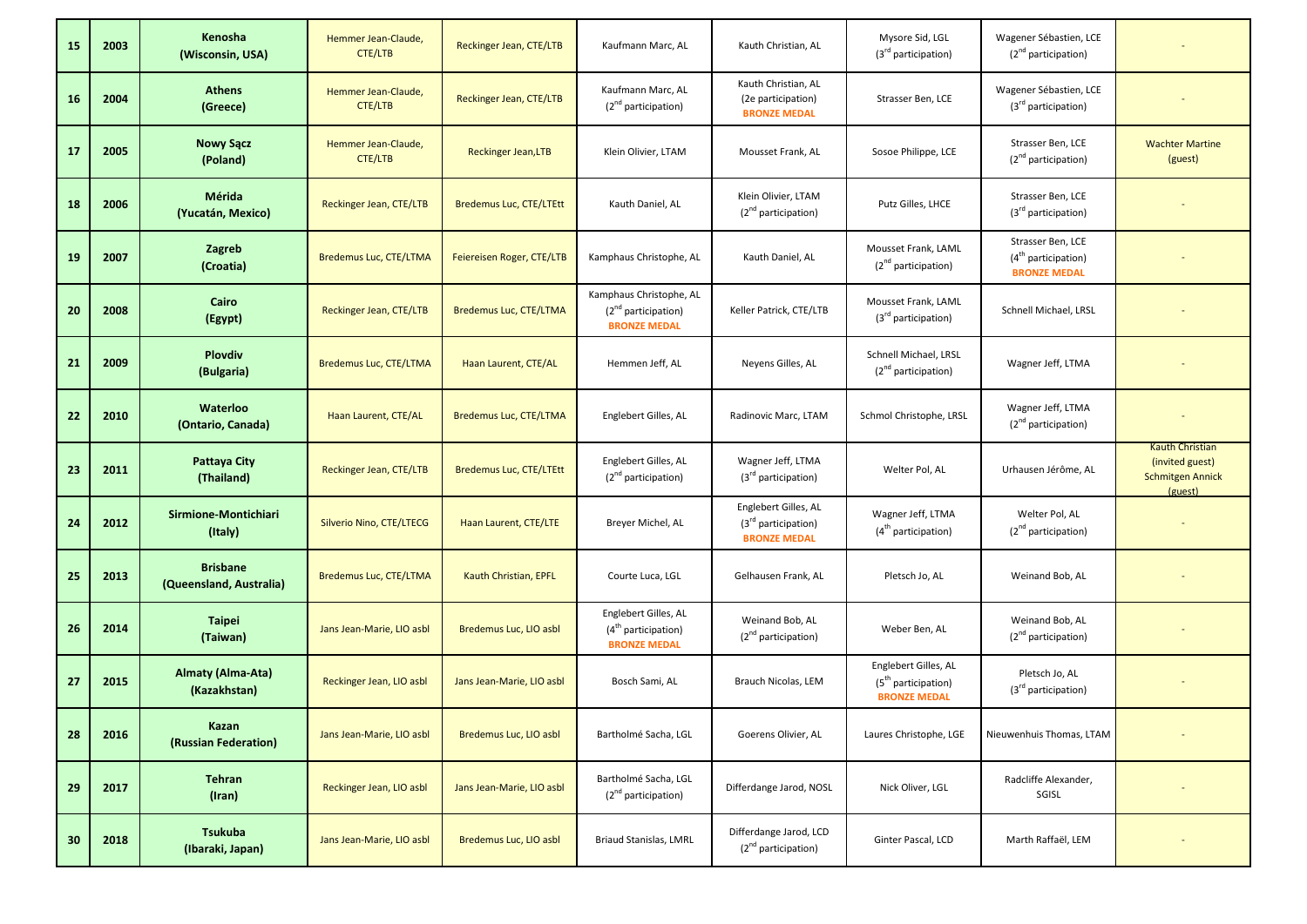| 15 | 2003 | Kenosha<br>(Wisconsin, USA)                | Hemmer Jean-Claude,<br><b>CTE/LTB</b> | Reckinger Jean, CTE/LTB       | Kaufmann Marc, AL                                                       | Kauth Christian, AL                                                  | Mysore Sid, LGL<br>(3 <sup>rd</sup> participation)                             | Wagener Sébastien, LCE<br>$(2nd$ participation)                   |                                                                                 |
|----|------|--------------------------------------------|---------------------------------------|-------------------------------|-------------------------------------------------------------------------|----------------------------------------------------------------------|--------------------------------------------------------------------------------|-------------------------------------------------------------------|---------------------------------------------------------------------------------|
| 16 | 2004 | <b>Athens</b><br>(Greece)                  | Hemmer Jean-Claude,<br><b>CTE/LTB</b> | Reckinger Jean, CTE/LTB       | Kaufmann Marc, AL<br>$(2nd$ participation)                              | Kauth Christian, AL<br>(2e participation)<br><b>BRONZE MEDAL</b>     | Strasser Ben, LCE                                                              | Wagener Sébastien, LCE<br>$(3rd$ participation)                   |                                                                                 |
| 17 | 2005 | <b>Nowy Sącz</b><br>(Poland)               | Hemmer Jean-Claude,<br><b>CTE/LTB</b> | <b>Reckinger Jean, LTB</b>    | Klein Olivier, LTAM                                                     | Mousset Frank, AL                                                    | Sosoe Philippe, LCE                                                            | Strasser Ben, LCE<br>$(2nd$ participation)                        | <b>Wachter Martine</b><br>(guest)                                               |
| 18 | 2006 | Mérida<br>(Yucatán, Mexico)                | Reckinger Jean, CTE/LTB               | Bredemus Luc, CTE/LTEtt       | Kauth Daniel, AL                                                        | Klein Olivier, LTAM<br>(2 <sup>nd</sup> participation)               | Putz Gilles, LHCE                                                              | Strasser Ben, LCE<br>(3 <sup>rd</sup> participation)              |                                                                                 |
| 19 | 2007 | Zagreb<br>(Croatia)                        | <b>Bredemus Luc, CTE/LTMA</b>         | Feiereisen Roger, CTE/LTB     | Kamphaus Christophe, AL                                                 | Kauth Daniel, AL                                                     | Mousset Frank, LAML<br>(2 <sup>nd</sup> participation)                         | Strasser Ben, LCE<br>$(4tn$ participation)<br><b>BRONZE MEDAL</b> |                                                                                 |
| 20 | 2008 | Cairo<br>(Egypt)                           | Reckinger Jean, CTE/LTB               | Bredemus Luc, CTE/LTMA        | Kamphaus Christophe, AL<br>$(2nd$ participation)<br><b>BRONZE MEDAL</b> | Keller Patrick, CTE/LTB                                              | Mousset Frank, LAML<br>(3 <sup>rd</sup> participation)                         | Schnell Michael, LRSL                                             |                                                                                 |
| 21 | 2009 | <b>Plovdiv</b><br>(Bulgaria)               | Bredemus Luc, CTE/LTMA                | Haan Laurent, CTE/AL          | Hemmen Jeff, AL                                                         | Neyens Gilles, AL                                                    | Schnell Michael, LRSL<br>(2 <sup>nd</sup> participation)                       | Wagner Jeff, LTMA                                                 |                                                                                 |
| 22 | 2010 | <b>Waterloo</b><br>(Ontario, Canada)       | Haan Laurent, CTE/AL                  | <b>Bredemus Luc, CTE/LTMA</b> | Englebert Gilles, AL                                                    | Radinovic Marc, LTAM                                                 | Schmol Christophe, LRSL                                                        | Wagner Jeff, LTMA<br>$(2nd$ participation)                        |                                                                                 |
| 23 | 2011 | Pattaya City<br>(Thailand)                 | Reckinger Jean, CTE/LTB               | Bredemus Luc, CTE/LTEtt       | Englebert Gilles, AL<br>(2 <sup>nd</sup> participation)                 | Wagner Jeff, LTMA<br>(3 <sup>rd</sup> participation)                 | Welter Pol, AL                                                                 | Urhausen Jérôme, AL                                               | <b>Kauth Christian</b><br>(invited guest)<br><b>Schmitgen Annick</b><br>(guest) |
| 24 | 2012 | <b>Sirmione-Montichiari</b><br>(Italy)     | Silverio Nino, CTE/LTECG              | Haan Laurent, CTE/LTE         | Breyer Michel, AL                                                       | Englebert Gilles, AL<br>$(3rd$ participation)<br><b>BRONZE MEDAL</b> | Wagner Jeff, LTMA<br>$(4th$ participation)                                     | Welter Pol, AL<br>$(2nd$ participation)                           |                                                                                 |
| 25 | 2013 | <b>Brisbane</b><br>(Queensland, Australia) | Bredemus Luc, CTE/LTMA                | Kauth Christian, EPFL         | Courte Luca, LGL                                                        | Gelhausen Frank, AL                                                  | Pletsch Jo, AL                                                                 | Weinand Bob, AL                                                   |                                                                                 |
| 26 | 2014 | <b>Taipei</b><br>(Taiwan)                  | Jans Jean-Marie, LIO asbl             | Bredemus Luc, LIO asbl        | Englebert Gilles, AL<br>$(4tn$ participation)<br><b>BRONZE MEDAL</b>    | Weinand Bob, AL<br>(2 <sup>nd</sup> participation)                   | Weber Ben, AL                                                                  | Weinand Bob, AL<br>(2 <sup>nd</sup> participation)                |                                                                                 |
| 27 | 2015 | Almaty (Alma-Ata)<br>(Kazakhstan)          | Reckinger Jean, LIO asbl              | Jans Jean-Marie, LIO asbl     | Bosch Sami, AL                                                          | Brauch Nicolas, LEM                                                  | Englebert Gilles, AL<br>(5 <sup>th</sup> participation)<br><b>BRONZE MEDAL</b> | Pletsch Jo, AL<br>(3 <sup>rd</sup> participation)                 |                                                                                 |
| 28 | 2016 | Kazan<br>(Russian Federation)              | Jans Jean-Marie, LIO asbl             | Bredemus Luc, LIO asbl        | Bartholmé Sacha, LGL                                                    | Goerens Olivier, AL                                                  | Laures Christophe, LGE                                                         | Nieuwenhuis Thomas, LTAM                                          |                                                                                 |
| 29 | 2017 | <b>Tehran</b><br>(Iran)                    | Reckinger Jean, LIO asbl              | Jans Jean-Marie, LIO asbl     | Bartholmé Sacha, LGL<br>(2 <sup>nd</sup> participation)                 | Differdange Jarod, NOSL                                              | Nick Oliver, LGL                                                               | Radcliffe Alexander,<br>SGISL                                     |                                                                                 |
| 30 | 2018 | <b>Tsukuba</b><br>(Ibaraki, Japan)         | Jans Jean-Marie, LIO asbl             | Bredemus Luc, LIO asbl        | <b>Briaud Stanislas, LMRL</b>                                           | Differdange Jarod, LCD<br>$(2nd$ participation)                      | Ginter Pascal, LCD                                                             | Marth Raffaël, LEM                                                |                                                                                 |